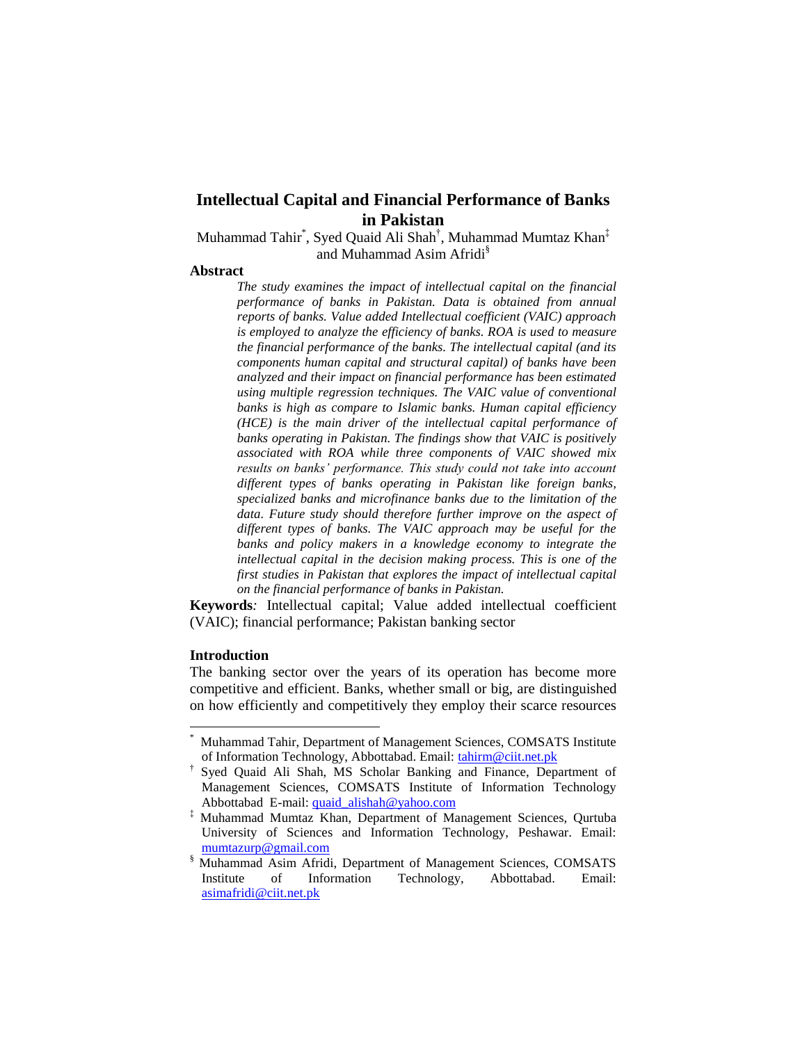# **Intellectual Capital and Financial Performance of Banks in Pakistan**

Muhammad Tahir\* , Syed Quaid Ali Shah† , Muhammad Mumtaz Khan‡ and Muhammad Asim Afridi§

## **Abstract**

*The study examines the impact of intellectual capital on the financial performance of banks in Pakistan. Data is obtained from annual reports of banks. Value added Intellectual coefficient (VAIC) approach is employed to analyze the efficiency of banks. ROA is used to measure the financial performance of the banks. The intellectual capital (and its components human capital and structural capital) of banks have been analyzed and their impact on financial performance has been estimated using multiple regression techniques. The VAIC value of conventional banks is high as compare to Islamic banks. Human capital efficiency (HCE) is the main driver of the intellectual capital performance of banks operating in Pakistan. The findings show that VAIC is positively associated with ROA while three components of VAIC showed mix results on banks' performance. This study could not take into account different types of banks operating in Pakistan like foreign banks, specialized banks and microfinance banks due to the limitation of the data. Future study should therefore further improve on the aspect of different types of banks. The VAIC approach may be useful for the banks and policy makers in a knowledge economy to integrate the intellectual capital in the decision making process. This is one of the first studies in Pakistan that explores the impact of intellectual capital on the financial performance of banks in Pakistan.* 

**Keywords***:* Intellectual capital; Value added intellectual coefficient (VAIC); financial performance; Pakistan banking sector

## **Introduction**

 $\overline{\phantom{a}}$ 

The banking sector over the years of its operation has become more competitive and efficient. Banks, whether small or big, are distinguished on how efficiently and competitively they employ their scarce resources

<sup>\*</sup> Muhammad Tahir, Department of Management Sciences, COMSATS Institute of Information Technology, Abbottabad. Email: [tahirm@ciit.net.pk](mailto:tahirm@ciit.net.pk)

<sup>†</sup> Syed Quaid Ali Shah, MS Scholar Banking and Finance, Department of Management Sciences, COMSATS Institute of Information Technology Abbottabad E-mail: [quaid\\_alishah@yahoo.com](mailto:quaid_alishah@yahoo.com)

<sup>‡</sup> Muhammad Mumtaz Khan, Department of Management Sciences, Qurtuba University of Sciences and Information Technology, Peshawar. Email: [mumtazurp@gmail.com](mailto:mumtazurp@gmail.com)

<sup>§</sup> Muhammad Asim Afridi, Department of Management Sciences, COMSATS of Information Technology, Abbottabad. Email: [asimafridi@ciit.net.pk](mailto:asimafridi@ciit.net.pk)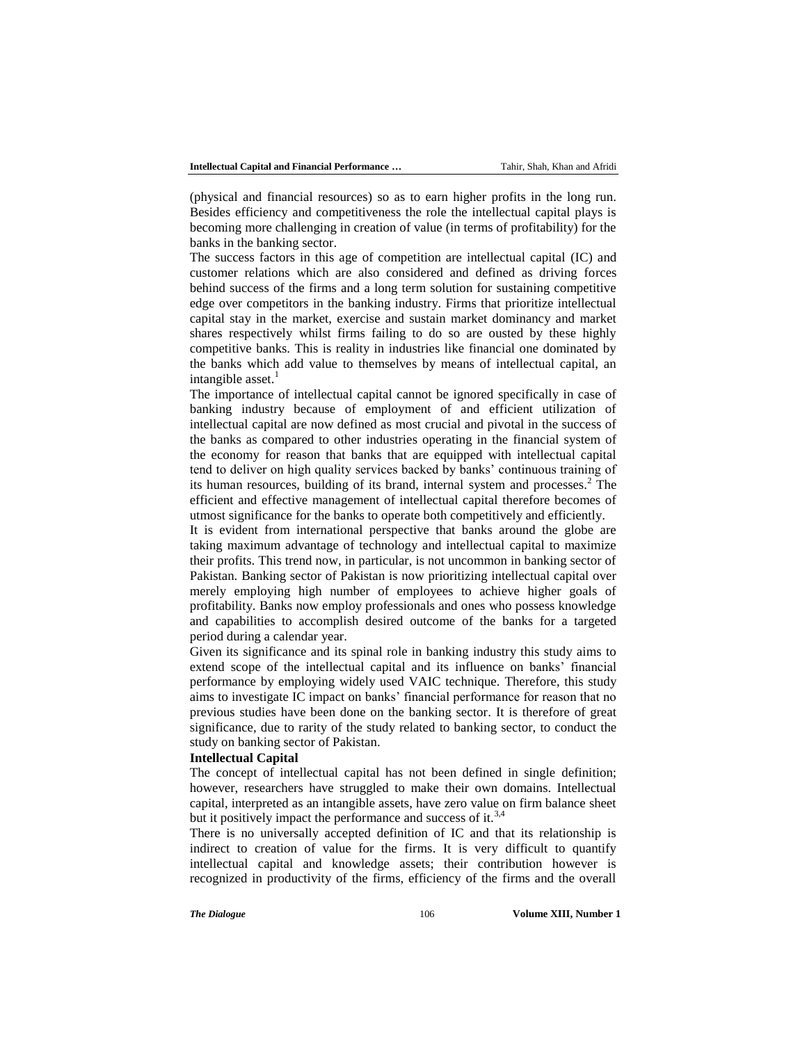(physical and financial resources) so as to earn higher profits in the long run. Besides efficiency and competitiveness the role the intellectual capital plays is becoming more challenging in creation of value (in terms of profitability) for the banks in the banking sector.

The success factors in this age of competition are intellectual capital (IC) and customer relations which are also considered and defined as driving forces behind success of the firms and a long term solution for sustaining competitive edge over competitors in the banking industry. Firms that prioritize intellectual capital stay in the market, exercise and sustain market dominancy and market shares respectively whilst firms failing to do so are ousted by these highly competitive banks. This is reality in industries like financial one dominated by the banks which add value to themselves by means of intellectual capital, an intangible asset.<sup>1</sup>

The importance of intellectual capital cannot be ignored specifically in case of banking industry because of employment of and efficient utilization of intellectual capital are now defined as most crucial and pivotal in the success of the banks as compared to other industries operating in the financial system of the economy for reason that banks that are equipped with intellectual capital tend to deliver on high quality services backed by banks' continuous training of its human resources, building of its brand, internal system and processes.<sup>2</sup> The efficient and effective management of intellectual capital therefore becomes of utmost significance for the banks to operate both competitively and efficiently.

It is evident from international perspective that banks around the globe are taking maximum advantage of technology and intellectual capital to maximize their profits. This trend now, in particular, is not uncommon in banking sector of Pakistan. Banking sector of Pakistan is now prioritizing intellectual capital over merely employing high number of employees to achieve higher goals of profitability. Banks now employ professionals and ones who possess knowledge and capabilities to accomplish desired outcome of the banks for a targeted period during a calendar year.

Given its significance and its spinal role in banking industry this study aims to extend scope of the intellectual capital and its influence on banks' financial performance by employing widely used VAIC technique. Therefore, this study aims to investigate IC impact on banks' financial performance for reason that no previous studies have been done on the banking sector. It is therefore of great significance, due to rarity of the study related to banking sector, to conduct the study on banking sector of Pakistan.

#### **Intellectual Capital**

The concept of intellectual capital has not been defined in single definition; however, researchers have struggled to make their own domains. Intellectual capital, interpreted as an intangible assets, have zero value on firm balance sheet but it positively impact the performance and success of it.<sup>3,4</sup>

There is no universally accepted definition of IC and that its relationship is indirect to creation of value for the firms. It is very difficult to quantify intellectual capital and knowledge assets; their contribution however is recognized in productivity of the firms, efficiency of the firms and the overall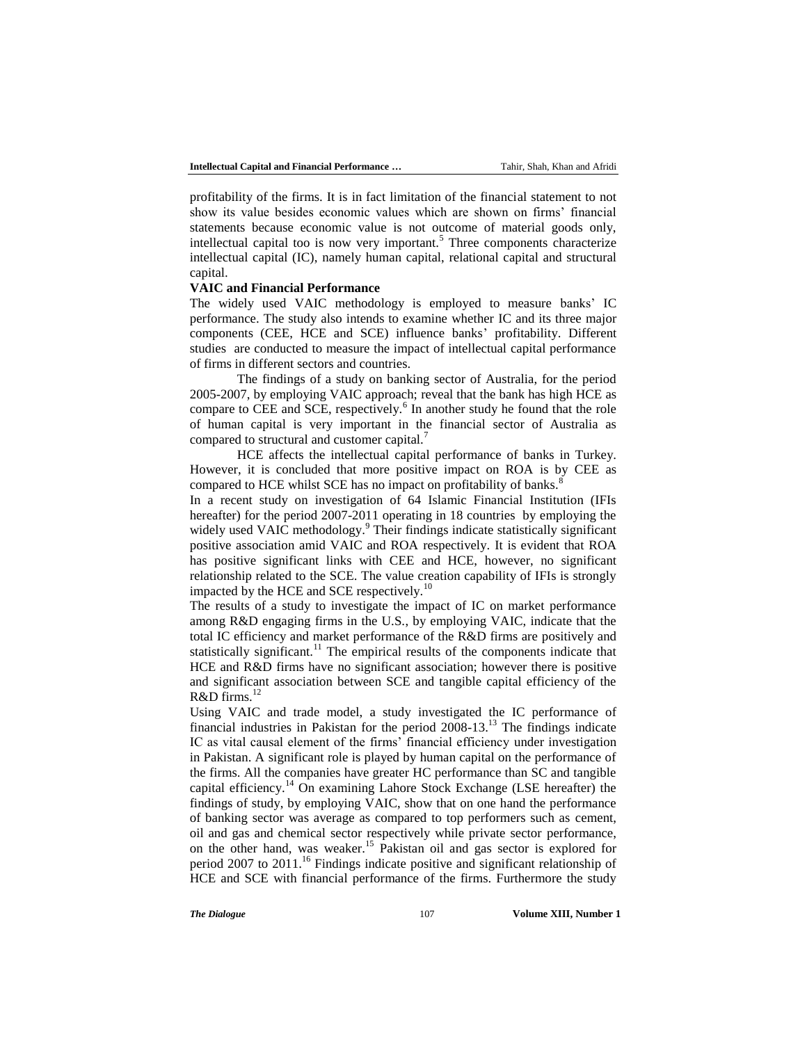profitability of the firms. It is in fact limitation of the financial statement to not show its value besides economic values which are shown on firms' financial statements because economic value is not outcome of material goods only, intellectual capital too is now very important.<sup>5</sup> Three components characterize intellectual capital (IC), namely human capital, relational capital and structural capital.

#### **VAIC and Financial Performance**

The widely used VAIC methodology is employed to measure banks' IC performance. The study also intends to examine whether IC and its three major components (CEE, HCE and SCE) influence banks' profitability. Different studies are conducted to measure the impact of intellectual capital performance of firms in different sectors and countries.

The findings of a study on banking sector of Australia, for the period 2005-2007, by employing VAIC approach; reveal that the bank has high HCE as compare to CEE and SCE, respectively.<sup>6</sup> In another study he found that the role of human capital is very important in the financial sector of Australia as compared to structural and customer capital.<sup>7</sup>

HCE affects the intellectual capital performance of banks in Turkey. However, it is concluded that more positive impact on ROA is by CEE as compared to HCE whilst SCE has no impact on profitability of banks.<sup>8</sup>

In a recent study on investigation of 64 Islamic Financial Institution (IFIs hereafter) for the period 2007-2011 operating in 18 countries by employing the widely used VAIC methodology.<sup>9</sup> Their findings indicate statistically significant positive association amid VAIC and ROA respectively. It is evident that ROA has positive significant links with CEE and HCE, however, no significant relationship related to the SCE. The value creation capability of IFIs is strongly impacted by the HCE and SCE respectively.<sup>10</sup>

The results of a study to investigate the impact of IC on market performance among R&D engaging firms in the U.S., by employing VAIC, indicate that the total IC efficiency and market performance of the R&D firms are positively and statistically significant.<sup>11</sup> The empirical results of the components indicate that HCE and R&D firms have no significant association; however there is positive and significant association between SCE and tangible capital efficiency of the  $R&D$  firms.<sup>12</sup>

Using VAIC and trade model, a study investigated the IC performance of financial industries in Pakistan for the period  $2008-13$ .<sup>13</sup> The findings indicate IC as vital causal element of the firms' financial efficiency under investigation in Pakistan. A significant role is played by human capital on the performance of the firms. All the companies have greater HC performance than SC and tangible capital efficiency.<sup>14</sup> On examining Lahore Stock Exchange (LSE hereafter) the findings of study, by employing VAIC, show that on one hand the performance of banking sector was average as compared to top performers such as cement, oil and gas and chemical sector respectively while private sector performance, on the other hand, was weaker.<sup>15</sup> Pakistan oil and gas sector is explored for period 2007 to 2011.<sup>16</sup> Findings indicate positive and significant relationship of HCE and SCE with financial performance of the firms. Furthermore the study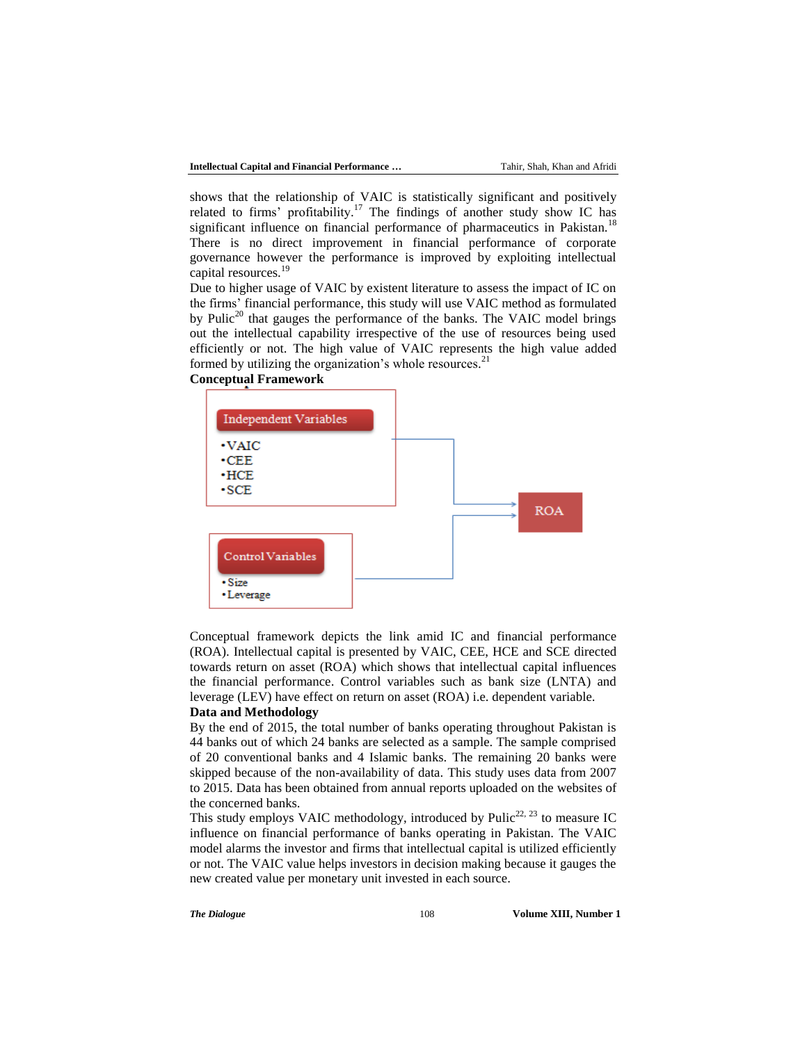shows that the relationship of VAIC is statistically significant and positively related to firms' profitability.<sup>17</sup> The findings of another study show IC has significant influence on financial performance of pharmaceutics in Pakistan.<sup>18</sup> There is no direct improvement in financial performance of corporate governance however the performance is improved by exploiting intellectual capital resources.<sup>19</sup>

Due to higher usage of VAIC by existent literature to assess the impact of IC on the firms' financial performance, this study will use VAIC method as formulated by Pulic<sup>20</sup> that gauges the performance of the banks. The VAIC model brings out the intellectual capability irrespective of the use of resources being used efficiently or not. The high value of VAIC represents the high value added formed by utilizing the organization's whole resources.<sup>21</sup>



Conceptual framework depicts the link amid IC and financial performance (ROA). Intellectual capital is presented by VAIC, CEE, HCE and SCE directed towards return on asset (ROA) which shows that intellectual capital influences the financial performance. Control variables such as bank size (LNTA) and leverage (LEV) have effect on return on asset (ROA) i.e. dependent variable.

#### **Data and Methodology**

By the end of 2015, the total number of banks operating throughout Pakistan is 44 banks out of which 24 banks are selected as a sample. The sample comprised of 20 conventional banks and 4 Islamic banks. The remaining 20 banks were skipped because of the non-availability of data. This study uses data from 2007 to 2015. Data has been obtained from annual reports uploaded on the websites of the concerned banks.

This study employs VAIC methodology, introduced by Pulic<sup>22, 23</sup> to measure IC influence on financial performance of banks operating in Pakistan. The VAIC model alarms the investor and firms that intellectual capital is utilized efficiently or not. The VAIC value helps investors in decision making because it gauges the new created value per monetary unit invested in each source.

*The Dialogue* 108 **Volume XIII, Number 1 Volume XIII**, Number 1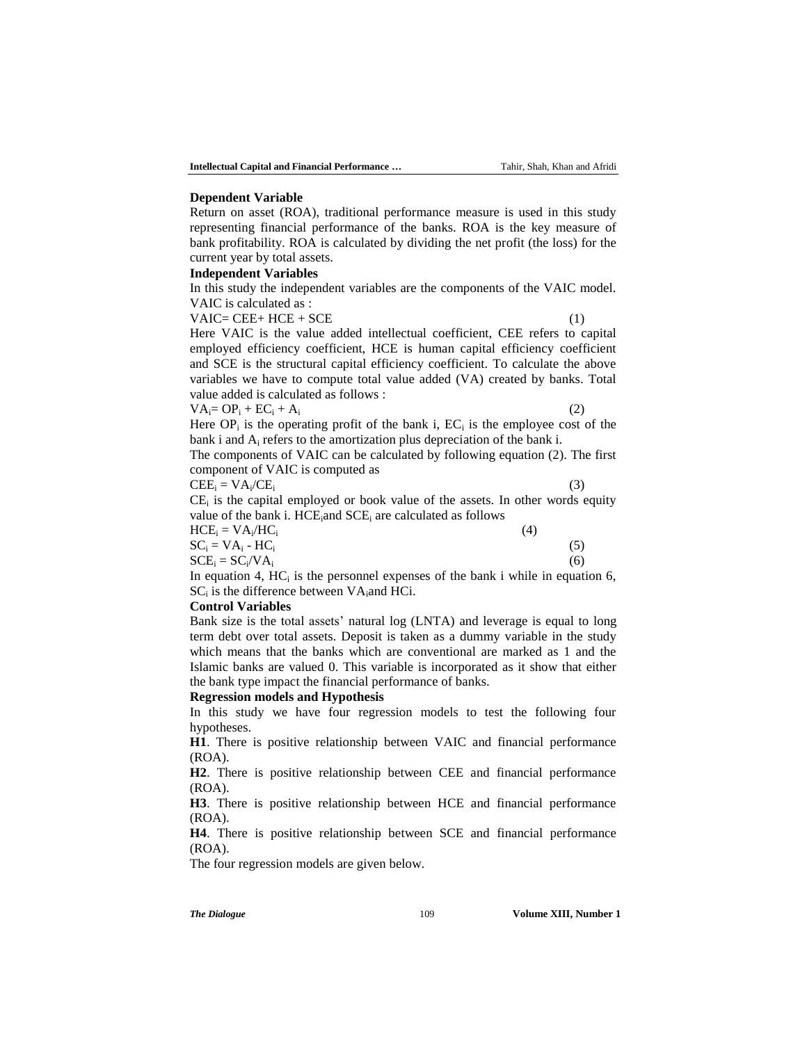#### **Dependent Variable**

Return on asset (ROA), traditional performance measure is used in this study representing financial performance of the banks. ROA is the key measure of bank profitability. ROA is calculated by dividing the net profit (the loss) for the current year by total assets.

#### **Independent Variables**

In this study the independent variables are the components of the VAIC model. VAIC is calculated as :

 $VAIC = CEE + HCE + SCE$  (1)

Here VAIC is the value added intellectual coefficient, CEE refers to capital employed efficiency coefficient, HCE is human capital efficiency coefficient and SCE is the structural capital efficiency coefficient. To calculate the above variables we have to compute total value added (VA) created by banks. Total value added is calculated as follows :

| $VA_i = OP_i + EC_i + A_i$ |  |
|----------------------------|--|
|                            |  |

Here  $OP_i$  is the operating profit of the bank i,  $EC_i$  is the employee cost of the bank i and  $A_i$  refers to the amortization plus depreciation of the bank i.

The components of VAIC can be calculated by following equation (2). The first component of VAIC is computed as

$$
CEE_i = VA_i / CE_i
$$

 $\angle E_i$  (3)

 $CE_i$  is the capital employed or book value of the assets. In other words equity value of the bank i.  $HCE_i$  and  $SCE_i$  are calculated as follows

| $HCE_i = VA_i / HC_i$ |  | (4) |     |
|-----------------------|--|-----|-----|
| $SC_i = VA_i - HC_i$  |  |     |     |
| $SCE_i = SC_i/VA_i$   |  |     | (6) |
| .                     |  |     |     |

In equation 4,  $HC_i$  is the personnel expenses of the bank i while in equation 6,  $SC_i$  is the difference between  $VA_i$  and HCi.

#### **Control Variables**

Bank size is the total assets' natural log (LNTA) and leverage is equal to long term debt over total assets. Deposit is taken as a dummy variable in the study which means that the banks which are conventional are marked as 1 and the Islamic banks are valued 0. This variable is incorporated as it show that either the bank type impact the financial performance of banks.

#### **Regression models and Hypothesis**

In this study we have four regression models to test the following four hypotheses.

**H1**. There is positive relationship between VAIC and financial performance (ROA).

**H2**. There is positive relationship between CEE and financial performance (ROA).

**H3**. There is positive relationship between HCE and financial performance (ROA).

**H4**. There is positive relationship between SCE and financial performance (ROA).

The four regression models are given below.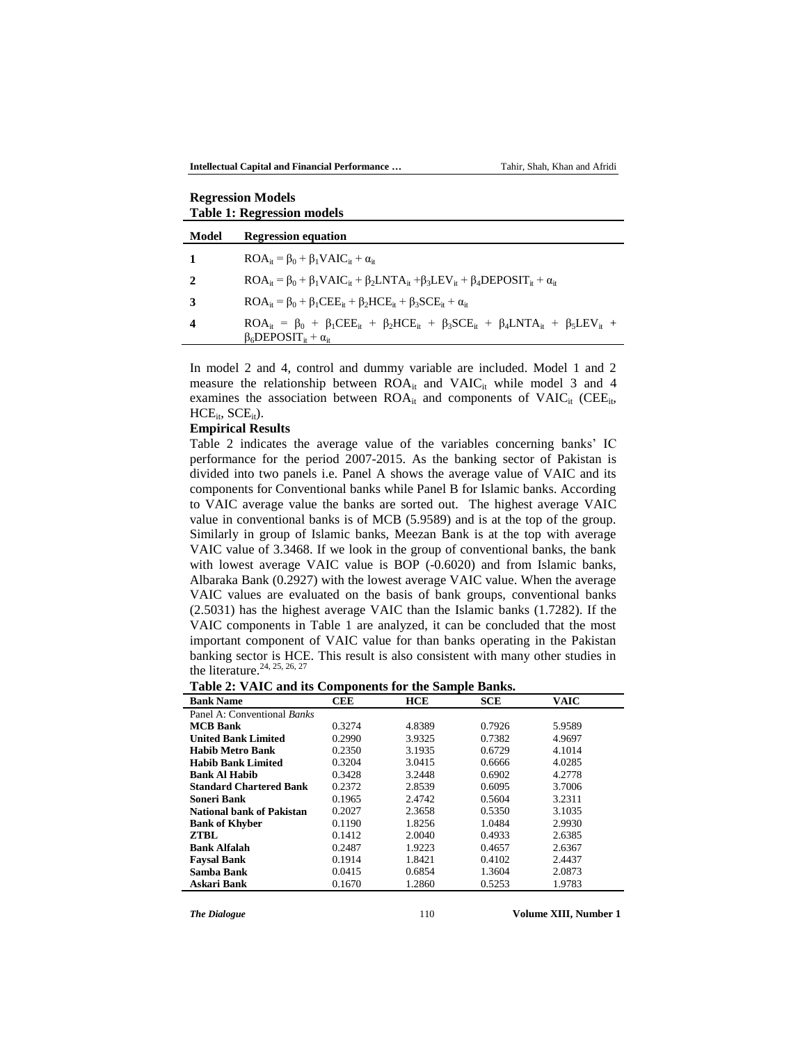**Intellectual Capital and Financial Performance …** Tahir, Shah, Khan and Afridi

| <b>Table 1: Regression models</b> |                                                                                                                                                                         |  |  |  |  |
|-----------------------------------|-------------------------------------------------------------------------------------------------------------------------------------------------------------------------|--|--|--|--|
| Model                             | <b>Regression equation</b>                                                                                                                                              |  |  |  |  |
|                                   | $ROA_{it} = \beta_0 + \beta_1 VAIC_{it} + \alpha_{it}$                                                                                                                  |  |  |  |  |
|                                   | $ROA_{it} = \beta_0 + \beta_1 VAIC_{it} + \beta_2 LNTA_{it} + \beta_3 LEV_{it} + \beta_4 DEPOSITION_{it} + \alpha_{it}$                                                 |  |  |  |  |
| 3                                 | $ROA_{it} = \beta_0 + \beta_1 CEE_{it} + \beta_2 HCE_{it} + \beta_3 SCE_{it} + \alpha_{it}$                                                                             |  |  |  |  |
| 4                                 | $ROA_{it} = \beta_0 + \beta_1 CEE_{it} + \beta_2 HCE_{it} + \beta_3 SCE_{it} + \beta_4 LNTA_{it} + \beta_5 LEV_{it}$<br>$\beta_6$ DEPOSIT <sub>it</sub> + $\alpha_{it}$ |  |  |  |  |

In model 2 and 4, control and dummy variable are included. Model 1 and 2 measure the relationship between  $ROA_{it}$  and  $VAIC_{it}$  while model 3 and 4 examines the association between  $ROA_{it}$  and components of  $VAIC_{it}$  (CEE<sub>it</sub>,  $HCE_{it}$ ,  $SCE_{it}$ ).

#### **Empirical Results**

**Regression Models**

Table 2 indicates the average value of the variables concerning banks' IC performance for the period 2007-2015. As the banking sector of Pakistan is divided into two panels i.e. Panel A shows the average value of VAIC and its components for Conventional banks while Panel B for Islamic banks. According to VAIC average value the banks are sorted out. The highest average VAIC value in conventional banks is of MCB (5.9589) and is at the top of the group. Similarly in group of Islamic banks, Meezan Bank is at the top with average VAIC value of 3.3468. If we look in the group of conventional banks, the bank with lowest average VAIC value is BOP (-0.6020) and from Islamic banks, Albaraka Bank (0.2927) with the lowest average VAIC value. When the average VAIC values are evaluated on the basis of bank groups, conventional banks (2.5031) has the highest average VAIC than the Islamic banks (1.7282). If the VAIC components in Table 1 are analyzed, it can be concluded that the most important component of VAIC value for than banks operating in the Pakistan banking sector is HCE. This result is also consistent with many other studies in the literature.<sup>24, 25, 26, 27</sup>

**Table 2: VAIC and its Components for the Sample Banks.**

| <b>Bank Name</b>                 | <b>CEE</b> | <b>HCE</b> | <b>SCE</b> | <b>VAIC</b> |  |
|----------------------------------|------------|------------|------------|-------------|--|
| Panel A: Conventional Banks      |            |            |            |             |  |
| <b>MCB Bank</b>                  | 0.3274     | 4.8389     | 0.7926     | 5.9589      |  |
| <b>United Bank Limited</b>       | 0.2990     | 3.9325     | 0.7382     | 4.9697      |  |
| <b>Habib Metro Bank</b>          | 0.2350     | 3.1935     | 0.6729     | 4.1014      |  |
| <b>Habib Bank Limited</b>        | 0.3204     | 3.0415     | 0.6666     | 4.0285      |  |
| <b>Bank Al Habib</b>             | 0.3428     | 3.2448     | 0.6902     | 4.2778      |  |
| <b>Standard Chartered Bank</b>   | 0.2372     | 2.8539     | 0.6095     | 3.7006      |  |
| Soneri Bank                      | 0.1965     | 2.4742     | 0.5604     | 3.2311      |  |
| <b>National bank of Pakistan</b> | 0.2027     | 2.3658     | 0.5350     | 3.1035      |  |
| <b>Bank of Khyber</b>            | 0.1190     | 1.8256     | 1.0484     | 2.9930      |  |
| ZTBL                             | 0.1412     | 2.0040     | 0.4933     | 2.6385      |  |
| <b>Bank Alfalah</b>              | 0.2487     | 1.9223     | 0.4657     | 2.6367      |  |
| <b>Faysal Bank</b>               | 0.1914     | 1.8421     | 0.4102     | 2.4437      |  |
| Samba Bank                       | 0.0415     | 0.6854     | 1.3604     | 2.0873      |  |
| Askari Bank                      | 0.1670     | 1.2860     | 0.5253     | 1.9783      |  |
|                                  |            |            |            |             |  |

*The Dialogue* 110 **Volume XIII, Number 1 Volume XIII**, Number 1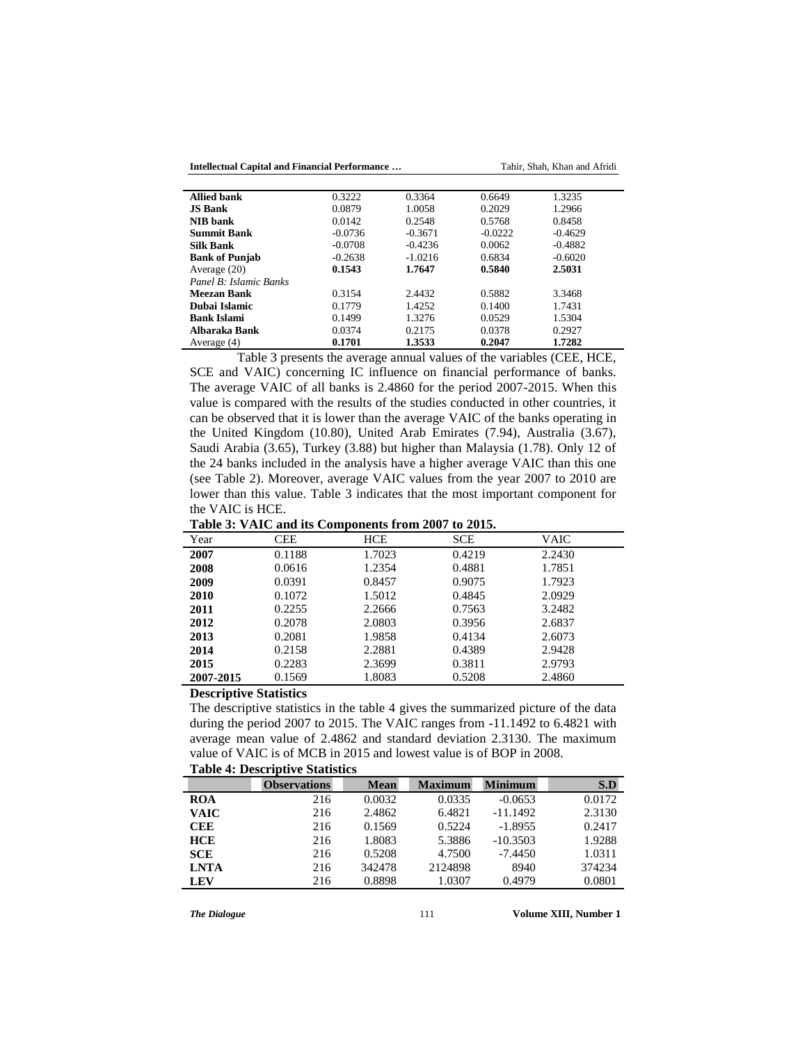**Intellectual Capital and Financial Performance …** Tahir, Shah, Khan and Afridi

| <b>Allied bank</b>     | 0.3222    | 0.3364    | 0.6649    | 1.3235    |
|------------------------|-----------|-----------|-----------|-----------|
| <b>JS Bank</b>         | 0.0879    | 1.0058    | 0.2029    | 1.2966    |
| <b>NIB</b> bank        | 0.0142    | 0.2548    | 0.5768    | 0.8458    |
| <b>Summit Bank</b>     | $-0.0736$ | $-0.3671$ | $-0.0222$ | $-0.4629$ |
| <b>Silk Bank</b>       | $-0.0708$ | $-0.4236$ | 0.0062    | $-0.4882$ |
| <b>Bank of Punjab</b>  | $-0.2638$ | $-1.0216$ | 0.6834    | $-0.6020$ |
| Average $(20)$         | 0.1543    | 1.7647    | 0.5840    | 2.5031    |
| Panel B: Islamic Banks |           |           |           |           |
| Meezan Bank            | 0.3154    | 2.4432    | 0.5882    | 3.3468    |
| Dubai Islamic          | 0.1779    | 1.4252    | 0.1400    | 1.7431    |
| <b>Bank Islami</b>     | 0.1499    | 1.3276    | 0.0529    | 1.5304    |
| Albaraka Bank          | 0.0374    | 0.2175    | 0.0378    | 0.2927    |
| Average (4)            | 0.1701    | 1.3533    | 0.2047    | 1.7282    |
|                        |           |           |           |           |

Table 3 presents the average annual values of the variables (CEE, HCE, SCE and VAIC) concerning IC influence on financial performance of banks. The average VAIC of all banks is 2.4860 for the period 2007-2015. When this value is compared with the results of the studies conducted in other countries, it can be observed that it is lower than the average VAIC of the banks operating in the United Kingdom (10.80), United Arab Emirates (7.94), Australia (3.67), Saudi Arabia (3.65), Turkey (3.88) but higher than Malaysia (1.78). Only 12 of the 24 banks included in the analysis have a higher average VAIC than this one (see Table 2). Moreover, average VAIC values from the year 2007 to 2010 are lower than this value. Table 3 indicates that the most important component for the VAIC is HCE.

|                               |        | Table 5. VATC and its components from 2007 to 2015. |            |        |  |
|-------------------------------|--------|-----------------------------------------------------|------------|--------|--|
| Year                          | CEE    | HCE                                                 | <b>SCE</b> | VAIC   |  |
| 2007                          | 0.1188 | 1.7023                                              | 0.4219     | 2.2430 |  |
| 2008                          | 0.0616 | 1.2354                                              | 0.4881     | 1.7851 |  |
| 2009                          | 0.0391 | 0.8457                                              | 0.9075     | 1.7923 |  |
| 2010                          | 0.1072 | 1.5012                                              | 0.4845     | 2.0929 |  |
| 2011                          | 0.2255 | 2.2666                                              | 0.7563     | 3.2482 |  |
| 2012                          | 0.2078 | 2.0803                                              | 0.3956     | 2.6837 |  |
| 2013                          | 0.2081 | 1.9858                                              | 0.4134     | 2.6073 |  |
| 2014                          | 0.2158 | 2.2881                                              | 0.4389     | 2.9428 |  |
| 2015                          | 0.2283 | 2.3699                                              | 0.3811     | 2.9793 |  |
| 2007-2015                     | 0.1569 | 1.8083                                              | 0.5208     | 2.4860 |  |
| $\sim$<br>$\bullet$ $\bullet$ | $-1$   |                                                     |            |        |  |

**Table 3: VAIC and its Components from 2007 to 2015.**

**Descriptive Statistics**

The descriptive statistics in the table 4 gives the summarized picture of the data during the period 2007 to 2015. The VAIC ranges from -11.1492 to 6.4821 with average mean value of 2.4862 and standard deviation 2.3130. The maximum value of VAIC is of MCB in 2015 and lowest value is of BOP in 2008.

|             | Table 7. Descriptive Blatistics |             |                |                |        |
|-------------|---------------------------------|-------------|----------------|----------------|--------|
|             | <b>Observations</b>             | <b>Mean</b> | <b>Maximum</b> | <b>Minimum</b> | S.D    |
| <b>ROA</b>  | 216                             | 0.0032      | 0.0335         | $-0.0653$      | 0.0172 |
| <b>VAIC</b> | 216                             | 2.4862      | 6.4821         | $-11.1492$     | 2.3130 |
| <b>CEE</b>  | 216                             | 0.1569      | 0.5224         | $-1.8955$      | 0.2417 |
| <b>HCE</b>  | 216                             | 1.8083      | 5.3886         | $-10.3503$     | 1.9288 |
| <b>SCE</b>  | 216                             | 0.5208      | 4.7500         | $-7.4450$      | 1.0311 |
| <b>LNTA</b> | 216                             | 342478      | 2124898        | 8940           | 374234 |
| <b>LEV</b>  | 216                             | 0.8898      | 1.0307         | 0.4979         | 0.0801 |
|             |                                 |             |                |                |        |

**Table 4: Descriptive Statistics**

*The Dialogue* 111 **Volume XIII, Number 1 Volume XIII**, Number 1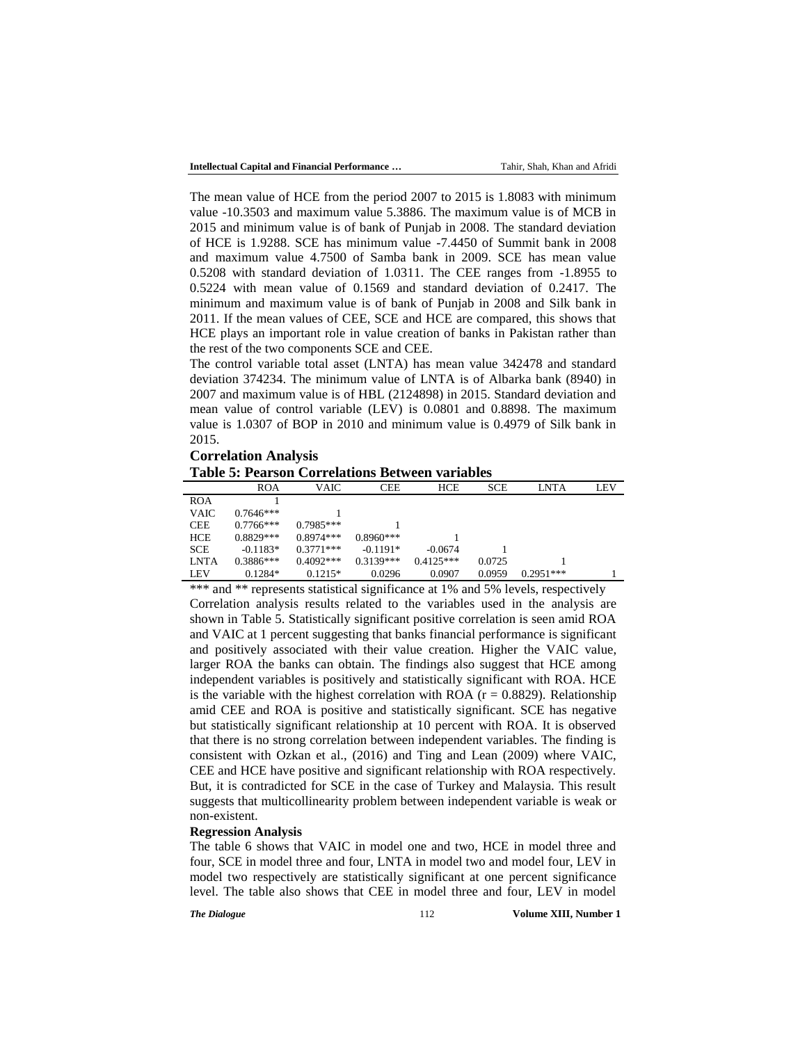The mean value of HCE from the period 2007 to 2015 is 1.8083 with minimum value -10.3503 and maximum value 5.3886. The maximum value is of MCB in 2015 and minimum value is of bank of Punjab in 2008. The standard deviation of HCE is 1.9288. SCE has minimum value -7.4450 of Summit bank in 2008 and maximum value 4.7500 of Samba bank in 2009. SCE has mean value 0.5208 with standard deviation of 1.0311. The CEE ranges from -1.8955 to 0.5224 with mean value of 0.1569 and standard deviation of 0.2417. The minimum and maximum value is of bank of Punjab in 2008 and Silk bank in 2011. If the mean values of CEE, SCE and HCE are compared, this shows that HCE plays an important role in value creation of banks in Pakistan rather than the rest of the two components SCE and CEE.

The control variable total asset (LNTA) has mean value 342478 and standard deviation 374234. The minimum value of LNTA is of Albarka bank (8940) in 2007 and maximum value is of HBL (2124898) in 2015. Standard deviation and mean value of control variable (LEV) is 0.0801 and 0.8898. The maximum value is 1.0307 of BOP in 2010 and minimum value is 0.4979 of Silk bank in 2015.

**Correlation Analysis Table 5: Pearson Correlations Between variables**

|             | <b>ROA</b>  | <b>VAIC</b> | <b>CEE</b>  | <b>HCE</b>  | <b>SCE</b> | <b>LNTA</b> | LEV |
|-------------|-------------|-------------|-------------|-------------|------------|-------------|-----|
| <b>ROA</b>  |             |             |             |             |            |             |     |
| <b>VAIC</b> | $0.7646***$ |             |             |             |            |             |     |
| <b>CEE</b>  | $0.7766***$ | $0.7985***$ |             |             |            |             |     |
| <b>HCE</b>  | $0.8829***$ | $0.8974***$ | $0.8960***$ |             |            |             |     |
| <b>SCE</b>  | $-0.1183*$  | $0.3771***$ | $-0.1191*$  | $-0.0674$   |            |             |     |
| <b>LNTA</b> | $0.3886***$ | $0.4092***$ | $0.3139***$ | $0.4125***$ | 0.0725     |             |     |
| <b>LEV</b>  | $0.1284*$   | $0.1215*$   | 0.0296      | 0.0907      | 0.0959     | $0.2951***$ |     |

\*\*\* and \*\* represents statistical significance at 1% and 5% levels, respectively Correlation analysis results related to the variables used in the analysis are shown in Table 5. Statistically significant positive correlation is seen amid ROA and VAIC at 1 percent suggesting that banks financial performance is significant and positively associated with their value creation. Higher the VAIC value, larger ROA the banks can obtain. The findings also suggest that HCE among independent variables is positively and statistically significant with ROA. HCE is the variable with the highest correlation with ROA ( $r = 0.8829$ ). Relationship amid CEE and ROA is positive and statistically significant. SCE has negative but statistically significant relationship at 10 percent with ROA. It is observed that there is no strong correlation between independent variables. The finding is consistent with Ozkan et al., (2016) and Ting and Lean (2009) where VAIC, CEE and HCE have positive and significant relationship with ROA respectively. But, it is contradicted for SCE in the case of Turkey and Malaysia. This result suggests that multicollinearity problem between independent variable is weak or non-existent.

#### **Regression Analysis**

The table 6 shows that VAIC in model one and two, HCE in model three and four, SCE in model three and four, LNTA in model two and model four, LEV in model two respectively are statistically significant at one percent significance level. The table also shows that CEE in model three and four, LEV in model

*The Dialogue* 112 **Volume XIII, Number 1**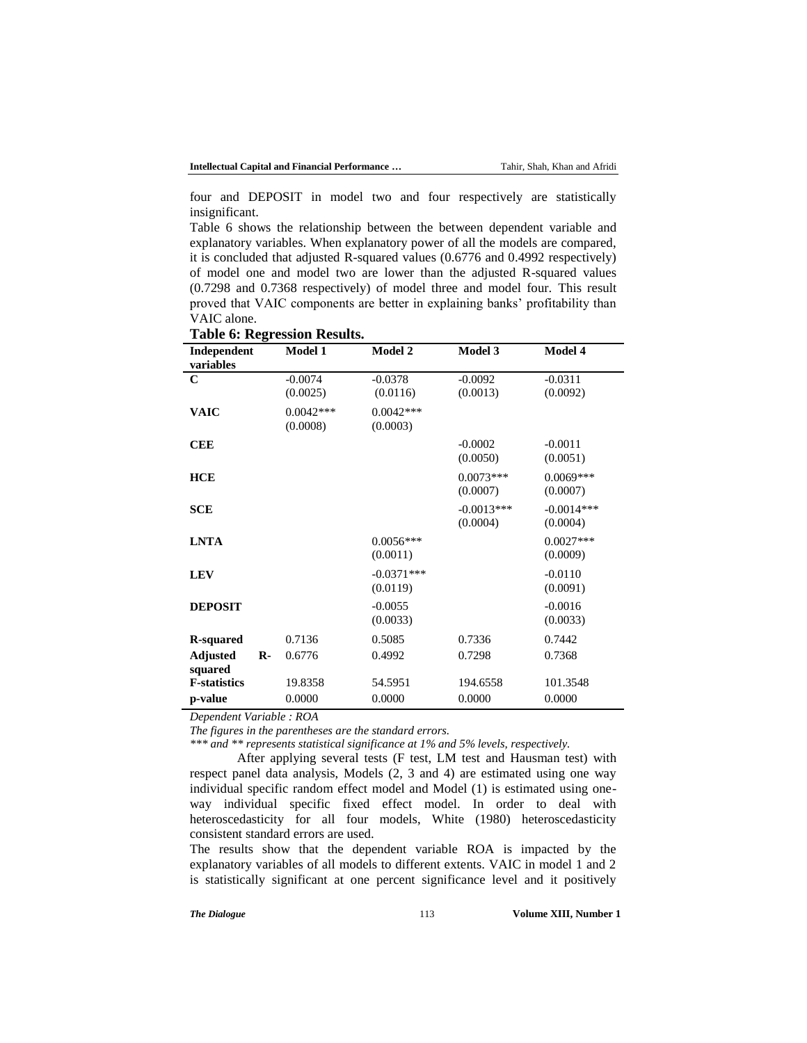four and DEPOSIT in model two and four respectively are statistically insignificant.

Table 6 shows the relationship between the between dependent variable and explanatory variables. When explanatory power of all the models are compared, it is concluded that adjusted R-squared values (0.6776 and 0.4992 respectively) of model one and model two are lower than the adjusted R-squared values (0.7298 and 0.7368 respectively) of model three and model four. This result proved that VAIC components are better in explaining banks' profitability than VAIC alone.

| Independent<br>variables        | Model 1     | Model 2      | Model 3      | Model 4      |
|---------------------------------|-------------|--------------|--------------|--------------|
| C                               | $-0.0074$   | $-0.0378$    | $-0.0092$    | $-0.0311$    |
|                                 | (0.0025)    | (0.0116)     | (0.0013)     | (0.0092)     |
| <b>VAIC</b>                     | $0.0042***$ | $0.0042***$  |              |              |
|                                 | (0.0008)    | (0.0003)     |              |              |
| <b>CEE</b>                      |             |              | $-0.0002$    | $-0.0011$    |
|                                 |             |              | (0.0050)     | (0.0051)     |
| <b>HCE</b>                      |             |              | $0.0073***$  | $0.0069***$  |
|                                 |             |              | (0.0007)     | (0.0007)     |
| <b>SCE</b>                      |             |              | $-0.0013***$ | $-0.0014***$ |
|                                 |             |              | (0.0004)     | (0.0004)     |
| <b>LNTA</b>                     |             | $0.0056***$  |              | $0.0027***$  |
|                                 |             | (0.0011)     |              | (0.0009)     |
| <b>LEV</b>                      |             | $-0.0371***$ |              | $-0.0110$    |
|                                 |             | (0.0119)     |              | (0.0091)     |
| <b>DEPOSIT</b>                  |             | $-0.0055$    |              | $-0.0016$    |
|                                 |             | (0.0033)     |              | (0.0033)     |
| <b>R-squared</b>                | 0.7136      | 0.5085       | 0.7336       | 0.7442       |
| <b>Adjusted</b><br>$\mathbf{R}$ | 0.6776      | 0.4992       | 0.7298       | 0.7368       |
| squared                         |             |              |              |              |
| <b>F-statistics</b>             | 19.8358     | 54.5951      | 194.6558     | 101.3548     |
| p-value                         | 0.0000      | 0.0000       | 0.0000       | 0.0000       |

**Table 6: Regression Results.**

*Dependent Variable : ROA*

*The figures in the parentheses are the standard errors.*

*\*\*\* and \*\* represents statistical significance at 1% and 5% levels, respectively.*

After applying several tests (F test, LM test and Hausman test) with respect panel data analysis, Models (2, 3 and 4) are estimated using one way individual specific random effect model and Model (1) is estimated using oneway individual specific fixed effect model. In order to deal with heteroscedasticity for all four models, White (1980) heteroscedasticity consistent standard errors are used.

The results show that the dependent variable ROA is impacted by the explanatory variables of all models to different extents. VAIC in model 1 and 2 is statistically significant at one percent significance level and it positively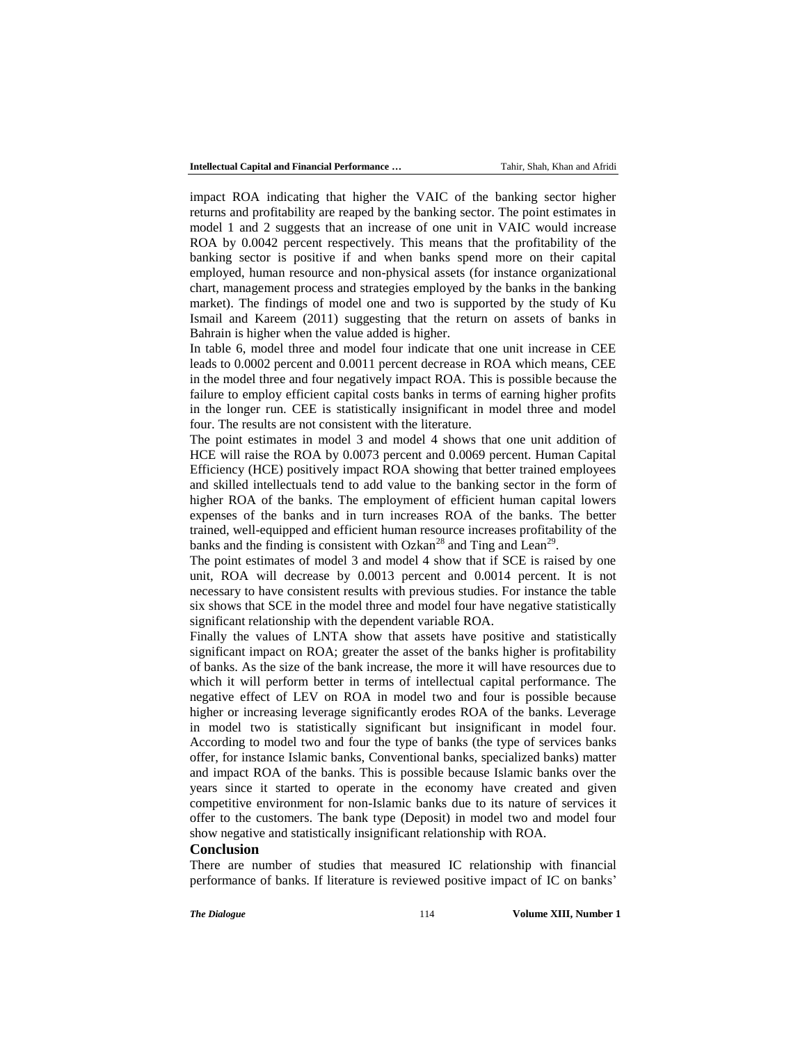impact ROA indicating that higher the VAIC of the banking sector higher returns and profitability are reaped by the banking sector. The point estimates in model 1 and 2 suggests that an increase of one unit in VAIC would increase ROA by 0.0042 percent respectively. This means that the profitability of the banking sector is positive if and when banks spend more on their capital employed, human resource and non-physical assets (for instance organizational chart, management process and strategies employed by the banks in the banking market). The findings of model one and two is supported by the study of Ku Ismail and Kareem (2011) suggesting that the return on assets of banks in Bahrain is higher when the value added is higher.

In table 6, model three and model four indicate that one unit increase in CEE leads to 0.0002 percent and 0.0011 percent decrease in ROA which means, CEE in the model three and four negatively impact ROA. This is possible because the failure to employ efficient capital costs banks in terms of earning higher profits in the longer run. CEE is statistically insignificant in model three and model four. The results are not consistent with the literature.

The point estimates in model 3 and model 4 shows that one unit addition of HCE will raise the ROA by 0.0073 percent and 0.0069 percent. Human Capital Efficiency (HCE) positively impact ROA showing that better trained employees and skilled intellectuals tend to add value to the banking sector in the form of higher ROA of the banks. The employment of efficient human capital lowers expenses of the banks and in turn increases ROA of the banks. The better trained, well-equipped and efficient human resource increases profitability of the banks and the finding is consistent with Ozkan<sup>28</sup> and Ting and Lean<sup>29</sup>.

The point estimates of model 3 and model 4 show that if SCE is raised by one unit, ROA will decrease by 0.0013 percent and 0.0014 percent. It is not necessary to have consistent results with previous studies. For instance the table six shows that SCE in the model three and model four have negative statistically significant relationship with the dependent variable ROA.

Finally the values of LNTA show that assets have positive and statistically significant impact on ROA; greater the asset of the banks higher is profitability of banks. As the size of the bank increase, the more it will have resources due to which it will perform better in terms of intellectual capital performance. The negative effect of LEV on ROA in model two and four is possible because higher or increasing leverage significantly erodes ROA of the banks. Leverage in model two is statistically significant but insignificant in model four. According to model two and four the type of banks (the type of services banks offer, for instance Islamic banks, Conventional banks, specialized banks) matter and impact ROA of the banks. This is possible because Islamic banks over the years since it started to operate in the economy have created and given competitive environment for non-Islamic banks due to its nature of services it offer to the customers. The bank type (Deposit) in model two and model four show negative and statistically insignificant relationship with ROA.

#### **Conclusion**

There are number of studies that measured IC relationship with financial performance of banks. If literature is reviewed positive impact of IC on banks'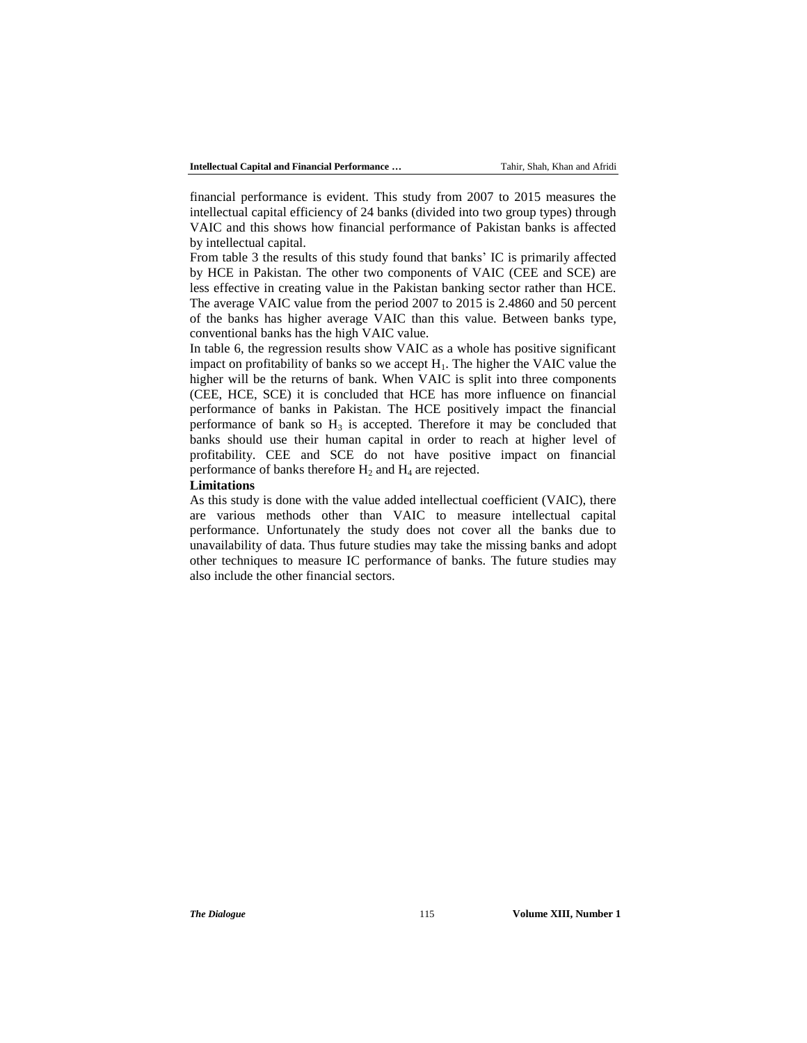financial performance is evident. This study from 2007 to 2015 measures the intellectual capital efficiency of 24 banks (divided into two group types) through VAIC and this shows how financial performance of Pakistan banks is affected by intellectual capital.

From table 3 the results of this study found that banks' IC is primarily affected by HCE in Pakistan. The other two components of VAIC (CEE and SCE) are less effective in creating value in the Pakistan banking sector rather than HCE. The average VAIC value from the period 2007 to 2015 is 2.4860 and 50 percent of the banks has higher average VAIC than this value. Between banks type, conventional banks has the high VAIC value.

In table 6, the regression results show VAIC as a whole has positive significant impact on profitability of banks so we accept  $H_1$ . The higher the VAIC value the higher will be the returns of bank. When VAIC is split into three components (CEE, HCE, SCE) it is concluded that HCE has more influence on financial performance of banks in Pakistan. The HCE positively impact the financial performance of bank so  $H_3$  is accepted. Therefore it may be concluded that banks should use their human capital in order to reach at higher level of profitability. CEE and SCE do not have positive impact on financial performance of banks therefore  $H_2$  and  $H_4$  are rejected.

### **Limitations**

As this study is done with the value added intellectual coefficient (VAIC), there are various methods other than VAIC to measure intellectual capital performance. Unfortunately the study does not cover all the banks due to unavailability of data. Thus future studies may take the missing banks and adopt other techniques to measure IC performance of banks. The future studies may also include the other financial sectors.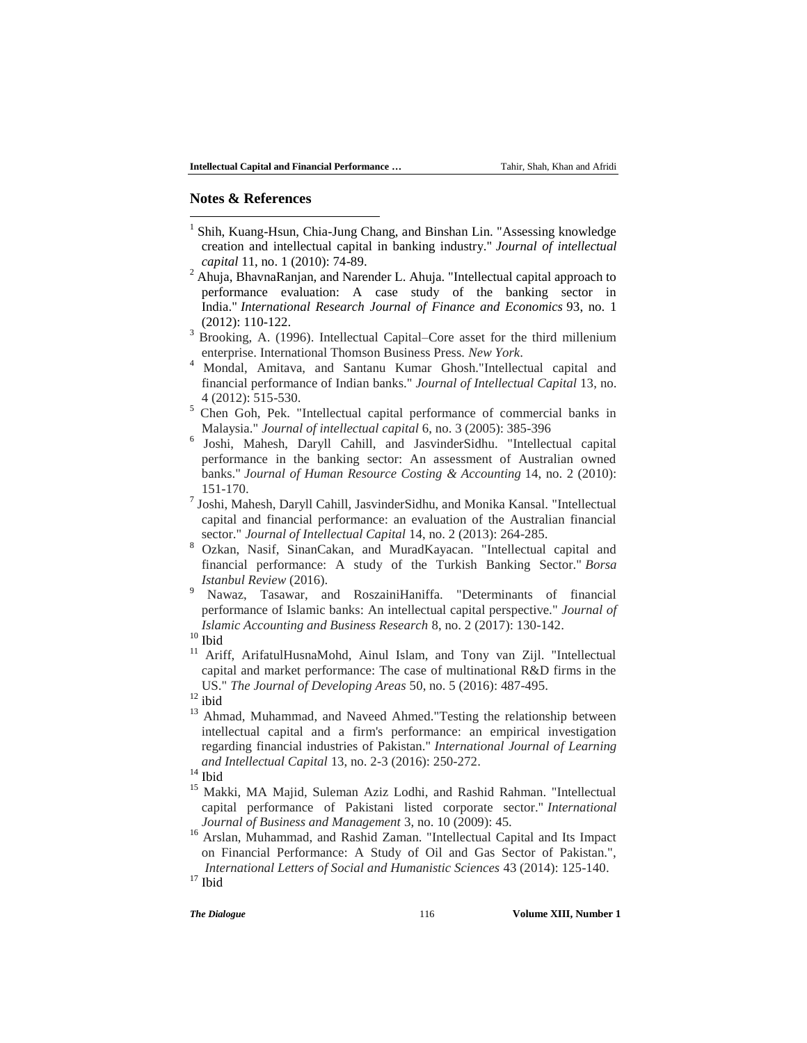## **Notes & References**

 $\overline{\phantom{a}}$ 

- 1 Shih, Kuang-Hsun, Chia-Jung Chang, and Binshan Lin. "Assessing knowledge creation and intellectual capital in banking industry." *Journal of intellectual capital* 11, no. 1 (2010): 74-89.
- <sup>2</sup> Ahuja, BhavnaRanjan, and Narender L. Ahuja. "Intellectual capital approach to performance evaluation: A case study of the banking sector in India." *International Research Journal of Finance and Economics* 93, no. 1 (2012): 110-122.
- <sup>3</sup> Brooking, A. (1996). Intellectual Capital–Core asset for the third millenium enterprise. International Thomson Business Press. *New York*.
- <sup>4</sup> Mondal, Amitava, and Santanu Kumar Ghosh."Intellectual capital and financial performance of Indian banks." *Journal of Intellectual Capital* 13, no. 4 (2012): 515-530.
- <sup>5</sup> Chen Goh, Pek. "Intellectual capital performance of commercial banks in Malaysia." *Journal of intellectual capital* 6, no. 3 (2005): 385-396
- 6 Joshi, Mahesh, Daryll Cahill, and JasvinderSidhu. "Intellectual capital performance in the banking sector: An assessment of Australian owned banks." *Journal of Human Resource Costing & Accounting* 14, no. 2 (2010): 151-170.
- 7 Joshi, Mahesh, Daryll Cahill, JasvinderSidhu, and Monika Kansal. "Intellectual capital and financial performance: an evaluation of the Australian financial sector." *Journal of Intellectual Capital* 14, no. 2 (2013): 264-285.
- <sup>8</sup> Ozkan, Nasif, SinanCakan, and MuradKayacan. "Intellectual capital and financial performance: A study of the Turkish Banking Sector." *Borsa Istanbul Review* (2016).
- <sup>9</sup> Nawaz, Tasawar, and RoszainiHaniffa. "Determinants of financial performance of Islamic banks: An intellectual capital perspective." *Journal of Islamic Accounting and Business Research* 8, no. 2 (2017): 130-142.

Ariff, ArifatulHusnaMohd, Ainul Islam, and Tony van Zijl. "Intellectual capital and market performance: The case of multinational R&D firms in the US." *The Journal of Developing Areas* 50, no. 5 (2016): 487-495.

 $12$  ibid

<sup>13</sup> Ahmad, Muhammad, and Naveed Ahmed."Testing the relationship between intellectual capital and a firm's performance: an empirical investigation regarding financial industries of Pakistan." *International Journal of Learning and Intellectual Capital* 13, no. 2-3 (2016): 250-272.

- <sup>15</sup> Makki, MA Majid, Suleman Aziz Lodhi, and Rashid Rahman. "Intellectual capital performance of Pakistani listed corporate sector." *International Journal of Business and Management* 3, no. 10 (2009): 45.
- <sup>16</sup> Arslan, Muhammad, and Rashid Zaman. "Intellectual Capital and Its Impact on Financial Performance: A Study of Oil and Gas Sector of Pakistan.", *International Letters of Social and Humanistic Sciences* 43 (2014): 125-140.

 $\frac{10}{11}$  Ibid

 $14$  Ibid

 $17$  Ibid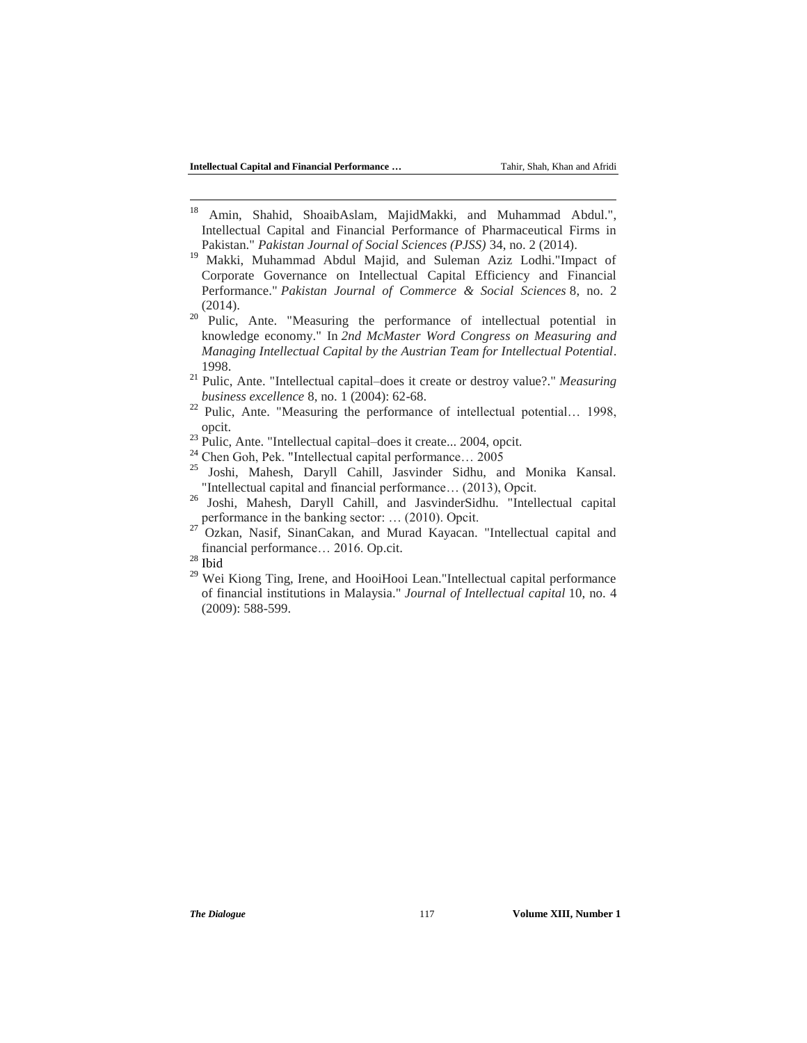- $18\,$ <sup>18</sup> Amin, Shahid, ShoaibAslam, MajidMakki, and Muhammad Abdul.", Intellectual Capital and Financial Performance of Pharmaceutical Firms in Pakistan." *Pakistan Journal of Social Sciences (PJSS)* 34, no. 2 (2014).
- <sup>19</sup> Makki, Muhammad Abdul Majid, and Suleman Aziz Lodhi."Impact of Corporate Governance on Intellectual Capital Efficiency and Financial Performance." *Pakistan Journal of Commerce & Social Sciences* 8, no. 2 (2014).
- $20$  Pulic, Ante. "Measuring the performance of intellectual potential in knowledge economy." In *2nd McMaster Word Congress on Measuring and Managing Intellectual Capital by the Austrian Team for Intellectual Potential*. 1998.
- <sup>21</sup> Pulic, Ante. "Intellectual capital–does it create or destroy value?." *Measuring business excellence* 8, no. 1 (2004): 62-68.
- <sup>22</sup> Pulic, Ante. "Measuring the performance of intellectual potential... 1998, opcit.
- <sup>23</sup> Pulic, Ante. "Intellectual capital–does it create... 2004, opcit.
- <sup>24</sup> Chen Goh, Pek. "Intellectual capital performance… 2005
- <sup>25</sup> Joshi, Mahesh, Daryll Cahill, Jasvinder Sidhu, and Monika Kansal. "Intellectual capital and financial performance… (2013), Opcit.
- <sup>26</sup> Joshi, Mahesh, Daryll Cahill, and JasvinderSidhu. "Intellectual capital performance in the banking sector: … (2010). Opcit.
- <sup>27</sup> Ozkan, Nasif, SinanCakan, and Murad Kayacan. "Intellectual capital and financial performance… 2016. Op.cit.

<sup>29</sup> Wei Kiong Ting, Irene, and HooiHooi Lean."Intellectual capital performance of financial institutions in Malaysia." *Journal of Intellectual capital* 10, no. 4 (2009): 588-599.

 $^\mathrm{28}$  Ibid